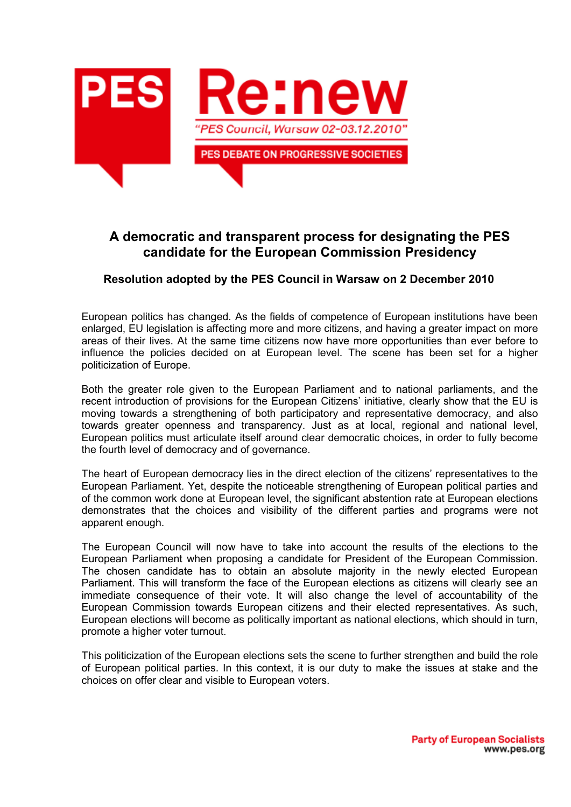

## **A democratic and transparent process for designating the PES candidate for the European Commission Presidency**

## **Resolution adopted by the PES Council in Warsaw on 2 December 2010**

European politics has changed. As the fields of competence of European institutions have been enlarged, EU legislation is affecting more and more citizens, and having a greater impact on more areas of their lives. At the same time citizens now have more opportunities than ever before to influence the policies decided on at European level. The scene has been set for a higher politicization of Europe.

Both the greater role given to the European Parliament and to national parliaments, and the recent introduction of provisions for the European Citizens' initiative, clearly show that the EU is moving towards a strengthening of both participatory and representative democracy, and also towards greater openness and transparency. Just as at local, regional and national level, European politics must articulate itself around clear democratic choices, in order to fully become the fourth level of democracy and of governance.

The heart of European democracy lies in the direct election of the citizens' representatives to the European Parliament. Yet, despite the noticeable strengthening of European political parties and of the common work done at European level, the significant abstention rate at European elections demonstrates that the choices and visibility of the different parties and programs were not apparent enough.

The European Council will now have to take into account the results of the elections to the European Parliament when proposing a candidate for President of the European Commission. The chosen candidate has to obtain an absolute majority in the newly elected European Parliament. This will transform the face of the European elections as citizens will clearly see an immediate consequence of their vote. It will also change the level of accountability of the European Commission towards European citizens and their elected representatives. As such, European elections will become as politically important as national elections, which should in turn, promote a higher voter turnout.

This politicization of the European elections sets the scene to further strengthen and build the role of European political parties. In this context, it is our duty to make the issues at stake and the choices on offer clear and visible to European voters.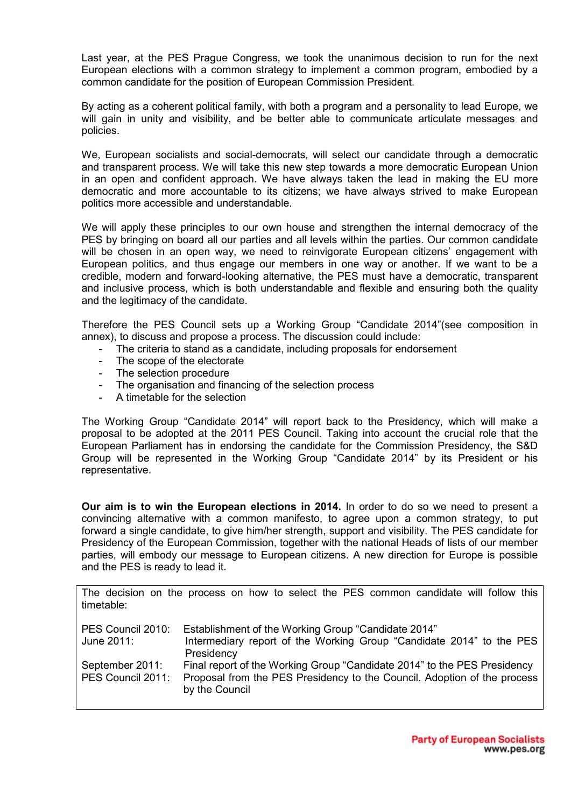Last year, at the PES Prague Congress, we took the unanimous decision to run for the next European elections with a common strategy to implement a common program, embodied by a common candidate for the position of European Commission President.

By acting as a coherent political family, with both a program and a personality to lead Europe, we will gain in unity and visibility, and be better able to communicate articulate messages and policies.

We, European socialists and social-democrats, will select our candidate through a democratic and transparent process. We will take this new step towards a more democratic European Union in an open and confident approach. We have always taken the lead in making the EU more democratic and more accountable to its citizens; we have always strived to make European politics more accessible and understandable.

We will apply these principles to our own house and strengthen the internal democracy of the PES by bringing on board all our parties and all levels within the parties. Our common candidate will be chosen in an open way, we need to reinvigorate European citizens' engagement with European politics, and thus engage our members in one way or another. If we want to be a credible, modern and forward-looking alternative, the PES must have a democratic, transparent and inclusive process, which is both understandable and flexible and ensuring both the quality and the legitimacy of the candidate.

Therefore the PES Council sets up a Working Group "Candidate 2014"(see composition in annex), to discuss and propose a process. The discussion could include:

- The criteria to stand as a candidate, including proposals for endorsement
- The scope of the electorate
- The selection procedure
- The organisation and financing of the selection process
- A timetable for the selection

The Working Group "Candidate 2014" will report back to the Presidency, which will make a proposal to be adopted at the 2011 PES Council. Taking into account the crucial role that the European Parliament has in endorsing the candidate for the Commission Presidency, the S&D Group will be represented in the Working Group "Candidate 2014" by its President or his representative.

**Our aim is to win the European elections in 2014.** In order to do so we need to present a convincing alternative with a common manifesto, to agree upon a common strategy, to put forward a single candidate, to give him/her strength, support and visibility. The PES candidate for Presidency of the European Commission, together with the national Heads of lists of our member parties, will embody our message to European citizens. A new direction for Europe is possible and the PES is ready to lead it.

The decision on the process on how to select the PES common candidate will follow this timetable:

| PES Council 2010: | Establishment of the Working Group "Candidate 2014"                                        |
|-------------------|--------------------------------------------------------------------------------------------|
| June 2011:        | Intermediary report of the Working Group "Candidate 2014" to the PES                       |
|                   | Presidency                                                                                 |
| September 2011:   | Final report of the Working Group "Candidate 2014" to the PES Presidency                   |
| PES Council 2011: | Proposal from the PES Presidency to the Council. Adoption of the process<br>by the Council |